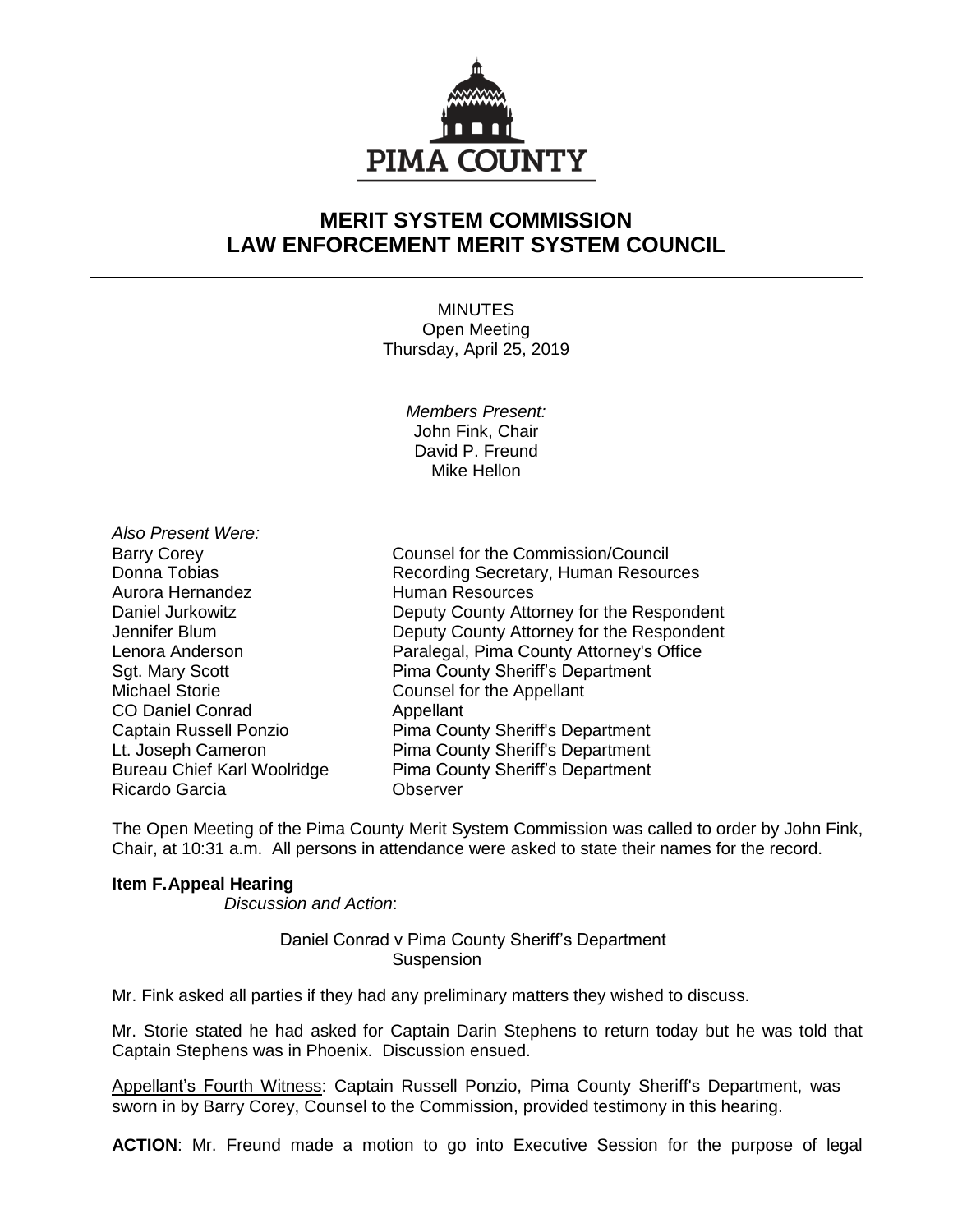

## **MERIT SYSTEM COMMISSION LAW ENFORCEMENT MERIT SYSTEM COUNCIL**

MINUTES Open Meeting Thursday, April 25, 2019

> *Members Present:* John Fink, Chair David P. Freund Mike Hellon

*Also Present Were:* Aurora Hernandez **Human Resources** Michael Storie **Counsel for the Appellant** CO Daniel Conrad Appellant Ricardo Garcia Observer

Barry Corey Counsel for the Commission/Council Donna Tobias **Recording Secretary, Human Resources** Daniel Jurkowitz **Deputy County Attorney for the Respondent** Jennifer Blum Deputy County Attorney for the Respondent Lenora Anderson Paralegal, Pima County Attorney's Office Sgt. Mary Scott **Pima County Sheriff's Department** Captain Russell Ponzio Pima County Sheriff's Department Lt. Joseph Cameron **Pima County Sheriff's Department** Bureau Chief Karl Woolridge Pima County Sheriff's Department

The Open Meeting of the Pima County Merit System Commission was called to order by John Fink, Chair, at 10:31 a.m. All persons in attendance were asked to state their names for the record.

## **Item F.Appeal Hearing**

*Discussion and Action*:

Daniel Conrad v Pima County Sheriff's Department **Suspension** 

Mr. Fink asked all parties if they had any preliminary matters they wished to discuss.

Mr. Storie stated he had asked for Captain Darin Stephens to return today but he was told that Captain Stephens was in Phoenix. Discussion ensued.

Appellant's Fourth Witness: Captain Russell Ponzio, Pima County Sheriff's Department, was sworn in by Barry Corey, Counsel to the Commission, provided testimony in this hearing.

**ACTION**: Mr. Freund made a motion to go into Executive Session for the purpose of legal